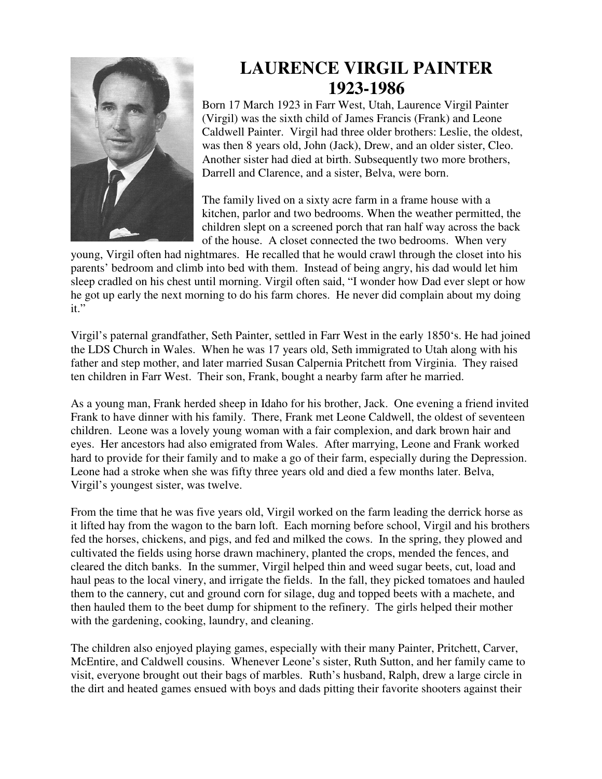

## **LAURENCE VIRGIL PAINTER 1923-1986**

Born 17 March 1923 in Farr West, Utah, Laurence Virgil Painter (Virgil) was the sixth child of James Francis (Frank) and Leone Caldwell Painter. Virgil had three older brothers: Leslie, the oldest, was then 8 years old, John (Jack), Drew, and an older sister, Cleo. Another sister had died at birth. Subsequently two more brothers, Darrell and Clarence, and a sister, Belva, were born.

The family lived on a sixty acre farm in a frame house with a kitchen, parlor and two bedrooms. When the weather permitted, the children slept on a screened porch that ran half way across the back of the house. A closet connected the two bedrooms. When very

young, Virgil often had nightmares. He recalled that he would crawl through the closet into his parents' bedroom and climb into bed with them. Instead of being angry, his dad would let him sleep cradled on his chest until morning. Virgil often said, "I wonder how Dad ever slept or how he got up early the next morning to do his farm chores. He never did complain about my doing it."

Virgil's paternal grandfather, Seth Painter, settled in Farr West in the early 1850's. He had joined the LDS Church in Wales. When he was 17 years old, Seth immigrated to Utah along with his father and step mother, and later married Susan Calpernia Pritchett from Virginia. They raised ten children in Farr West. Their son, Frank, bought a nearby farm after he married.

As a young man, Frank herded sheep in Idaho for his brother, Jack. One evening a friend invited Frank to have dinner with his family. There, Frank met Leone Caldwell, the oldest of seventeen children. Leone was a lovely young woman with a fair complexion, and dark brown hair and eyes. Her ancestors had also emigrated from Wales. After marrying, Leone and Frank worked hard to provide for their family and to make a go of their farm, especially during the Depression. Leone had a stroke when she was fifty three years old and died a few months later. Belva, Virgil's youngest sister, was twelve.

From the time that he was five years old, Virgil worked on the farm leading the derrick horse as it lifted hay from the wagon to the barn loft. Each morning before school, Virgil and his brothers fed the horses, chickens, and pigs, and fed and milked the cows. In the spring, they plowed and cultivated the fields using horse drawn machinery, planted the crops, mended the fences, and cleared the ditch banks. In the summer, Virgil helped thin and weed sugar beets, cut, load and haul peas to the local vinery, and irrigate the fields. In the fall, they picked tomatoes and hauled them to the cannery, cut and ground corn for silage, dug and topped beets with a machete, and then hauled them to the beet dump for shipment to the refinery. The girls helped their mother with the gardening, cooking, laundry, and cleaning.

The children also enjoyed playing games, especially with their many Painter, Pritchett, Carver, McEntire, and Caldwell cousins. Whenever Leone's sister, Ruth Sutton, and her family came to visit, everyone brought out their bags of marbles. Ruth's husband, Ralph, drew a large circle in the dirt and heated games ensued with boys and dads pitting their favorite shooters against their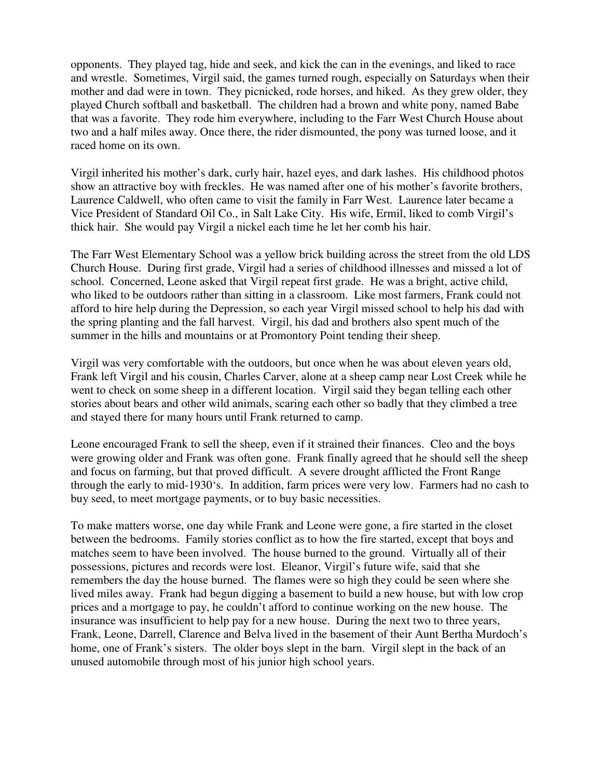opponents. They played tag, hide and seek, and kick the can in the evenings, and liked to race and wrestle. Sometimes, Virgil said, the games turned rough, especially on Saturdays when their mother and dad were in town. They picnicked, rode horses, and hiked. As they grew older, they played Church softball and basketball. The children had a brown and white pony, named Babe that was a favorite. They rode him everywhere, including to the Farr West Church House about two and a half miles away. Once there, the rider dismounted, the pony was turned loose, and it raced home on its own.

Virgil inherited his mother's dark, curly hair, hazel eyes, and dark lashes. His childhood photos show an attractive boy with freckles. He was named after one of his mother's favorite brothers, Laurence Caldwell, who often came to visit the family in Farr West. Laurence later became a Vice President of Standard Oil Co., in Salt Lake City. His wife, Ermil, liked to comb Virgil's thick hair. She would pay Virgil a nickel each time he let her comb his hair.

The Farr West Elementary School was a yellow brick building across the street from the old LDS Church House. During first grade, Virgil had a series of childhood illnesses and missed a lot of school. Concerned, Leone asked that Virgil repeat first grade. He was a bright, active child, who liked to be outdoors rather than sitting in a classroom. Like most farmers, Frank could not afford to hire help during the Depression, so each year Virgil missed school to help his dad with the spring planting and the fall harvest. Virgil, his dad and brothers also spent much of the summer in the hills and mountains or at Promontory Point tending their sheep.

Virgil was very comfortable with the outdoors, but once when he was about eleven years old, Frank left Virgil and his cousin, Charles Carver, alone at a sheep camp near Lost Creek while he went to check on some sheep in a different location. Virgil said they began telling each other stories about bears and other wild animals, scaring each other so badly that they climbed a tree and stayed there for many hours until Frank returned to camp.

Leone encouraged Frank to sell the sheep, even if it strained their finances. Cleo and the boys were growing older and Frank was often gone. Frank finally agreed that he should sell the sheep and focus on farming, but that proved difficult. A severe drought afflicted the Front Range through the early to mid-1930's. In addition, farm prices were very low. Farmers had no cash to buy seed, to meet mortgage payments, or to buy basic necessities.

To make matters worse, one day while Frank and Leone were gone, a fire started in the closet between the bedrooms. Family stories conflict as to how the fire started, except that boys and matches seem to have been involved. The house burned to the ground. Virtually all of their possessions, pictures and records were lost. Eleanor, Virgil's future wife, said that she remembers the day the house burned. The flames were so high they could be seen where she lived miles away. Frank had begun digging a basement to build a new house, but with low crop prices and a mortgage to pay, he couldn't afford to continue working on the new house. The insurance was insufficient to help pay for a new house. During the next two to three years, Frank, Leone, Darrell, Clarence and Belva lived in the basement of their Aunt Bertha Murdoch's home, one of Frank's sisters. The older boys slept in the barn. Virgil slept in the back of an unused automobile through most of his junior high school years.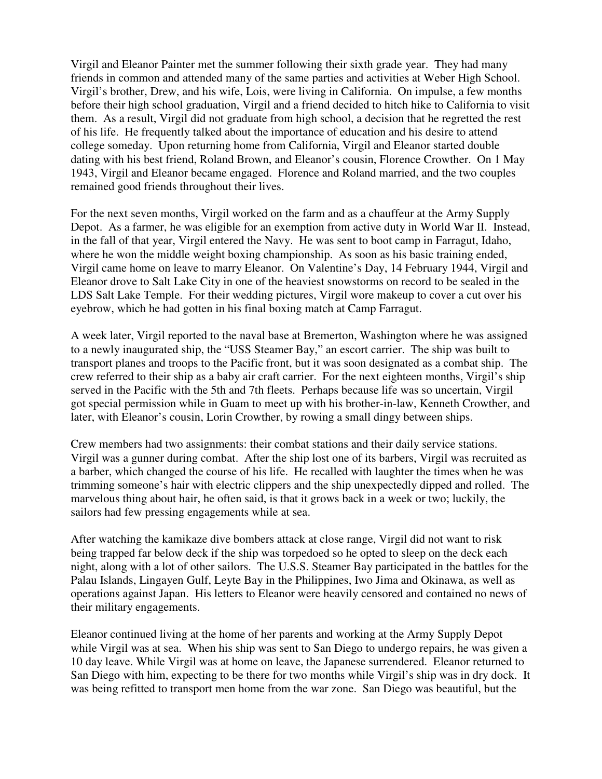Virgil and Eleanor Painter met the summer following their sixth grade year. They had many friends in common and attended many of the same parties and activities at Weber High School. Virgil's brother, Drew, and his wife, Lois, were living in California. On impulse, a few months before their high school graduation, Virgil and a friend decided to hitch hike to California to visit them. As a result, Virgil did not graduate from high school, a decision that he regretted the rest of his life. He frequently talked about the importance of education and his desire to attend college someday. Upon returning home from California, Virgil and Eleanor started double dating with his best friend, Roland Brown, and Eleanor's cousin, Florence Crowther. On 1 May 1943, Virgil and Eleanor became engaged. Florence and Roland married, and the two couples remained good friends throughout their lives.

For the next seven months, Virgil worked on the farm and as a chauffeur at the Army Supply Depot. As a farmer, he was eligible for an exemption from active duty in World War II. Instead, in the fall of that year, Virgil entered the Navy. He was sent to boot camp in Farragut, Idaho, where he won the middle weight boxing championship. As soon as his basic training ended, Virgil came home on leave to marry Eleanor. On Valentine's Day, 14 February 1944, Virgil and Eleanor drove to Salt Lake City in one of the heaviest snowstorms on record to be sealed in the LDS Salt Lake Temple. For their wedding pictures, Virgil wore makeup to cover a cut over his eyebrow, which he had gotten in his final boxing match at Camp Farragut.

A week later, Virgil reported to the naval base at Bremerton, Washington where he was assigned to a newly inaugurated ship, the "USS Steamer Bay," an escort carrier. The ship was built to transport planes and troops to the Pacific front, but it was soon designated as a combat ship. The crew referred to their ship as a baby air craft carrier. For the next eighteen months, Virgil's ship served in the Pacific with the 5th and 7th fleets. Perhaps because life was so uncertain, Virgil got special permission while in Guam to meet up with his brother-in-law, Kenneth Crowther, and later, with Eleanor's cousin, Lorin Crowther, by rowing a small dingy between ships.

Crew members had two assignments: their combat stations and their daily service stations. Virgil was a gunner during combat. After the ship lost one of its barbers, Virgil was recruited as a barber, which changed the course of his life. He recalled with laughter the times when he was trimming someone's hair with electric clippers and the ship unexpectedly dipped and rolled. The marvelous thing about hair, he often said, is that it grows back in a week or two; luckily, the sailors had few pressing engagements while at sea.

After watching the kamikaze dive bombers attack at close range, Virgil did not want to risk being trapped far below deck if the ship was torpedoed so he opted to sleep on the deck each night, along with a lot of other sailors. The U.S.S. Steamer Bay participated in the battles for the Palau Islands, Lingayen Gulf, Leyte Bay in the Philippines, Iwo Jima and Okinawa, as well as operations against Japan. His letters to Eleanor were heavily censored and contained no news of their military engagements.

Eleanor continued living at the home of her parents and working at the Army Supply Depot while Virgil was at sea. When his ship was sent to San Diego to undergo repairs, he was given a 10 day leave. While Virgil was at home on leave, the Japanese surrendered. Eleanor returned to San Diego with him, expecting to be there for two months while Virgil's ship was in dry dock. It was being refitted to transport men home from the war zone. San Diego was beautiful, but the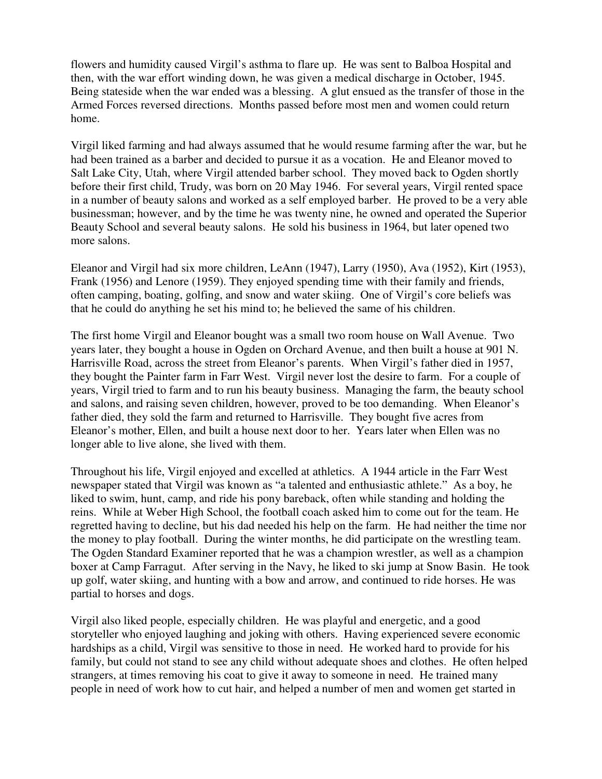flowers and humidity caused Virgil's asthma to flare up. He was sent to Balboa Hospital and then, with the war effort winding down, he was given a medical discharge in October, 1945. Being stateside when the war ended was a blessing. A glut ensued as the transfer of those in the Armed Forces reversed directions. Months passed before most men and women could return home.

Virgil liked farming and had always assumed that he would resume farming after the war, but he had been trained as a barber and decided to pursue it as a vocation. He and Eleanor moved to Salt Lake City, Utah, where Virgil attended barber school. They moved back to Ogden shortly before their first child, Trudy, was born on 20 May 1946. For several years, Virgil rented space in a number of beauty salons and worked as a self employed barber. He proved to be a very able businessman; however, and by the time he was twenty nine, he owned and operated the Superior Beauty School and several beauty salons. He sold his business in 1964, but later opened two more salons.

Eleanor and Virgil had six more children, LeAnn (1947), Larry (1950), Ava (1952), Kirt (1953), Frank (1956) and Lenore (1959). They enjoyed spending time with their family and friends, often camping, boating, golfing, and snow and water skiing. One of Virgil's core beliefs was that he could do anything he set his mind to; he believed the same of his children.

The first home Virgil and Eleanor bought was a small two room house on Wall Avenue. Two years later, they bought a house in Ogden on Orchard Avenue, and then built a house at 901 N. Harrisville Road, across the street from Eleanor's parents. When Virgil's father died in 1957, they bought the Painter farm in Farr West. Virgil never lost the desire to farm. For a couple of years, Virgil tried to farm and to run his beauty business. Managing the farm, the beauty school and salons, and raising seven children, however, proved to be too demanding. When Eleanor's father died, they sold the farm and returned to Harrisville. They bought five acres from Eleanor's mother, Ellen, and built a house next door to her. Years later when Ellen was no longer able to live alone, she lived with them.

Throughout his life, Virgil enjoyed and excelled at athletics. A 1944 article in the Farr West newspaper stated that Virgil was known as "a talented and enthusiastic athlete." As a boy, he liked to swim, hunt, camp, and ride his pony bareback, often while standing and holding the reins. While at Weber High School, the football coach asked him to come out for the team. He regretted having to decline, but his dad needed his help on the farm. He had neither the time nor the money to play football. During the winter months, he did participate on the wrestling team. The Ogden Standard Examiner reported that he was a champion wrestler, as well as a champion boxer at Camp Farragut. After serving in the Navy, he liked to ski jump at Snow Basin. He took up golf, water skiing, and hunting with a bow and arrow, and continued to ride horses. He was partial to horses and dogs.

Virgil also liked people, especially children. He was playful and energetic, and a good storyteller who enjoyed laughing and joking with others. Having experienced severe economic hardships as a child, Virgil was sensitive to those in need. He worked hard to provide for his family, but could not stand to see any child without adequate shoes and clothes. He often helped strangers, at times removing his coat to give it away to someone in need. He trained many people in need of work how to cut hair, and helped a number of men and women get started in